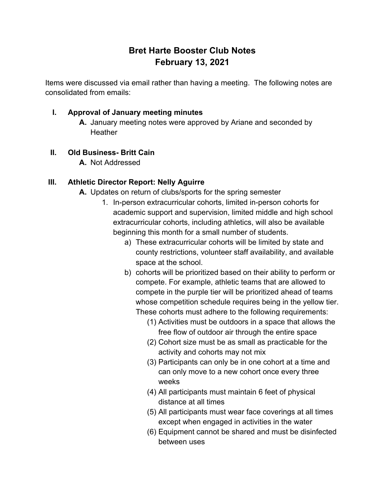# **Bret Harte Booster Club Notes February 13, 2021**

Items were discussed via email rather than having a meeting. The following notes are consolidated from emails:

### **I. Approval of January meeting minutes**

**A.** January meeting notes were approved by Ariane and seconded by **Heather** 

# **II. Old Business- Britt Cain**

**A.** Not Addressed

### **III. Athletic Director Report: Nelly Aguirre**

- **A.** Updates on return of clubs/sports for the spring semester
	- 1. In-person extracurricular cohorts, limited in-person cohorts for academic support and supervision, limited middle and high school extracurricular cohorts, including athletics, will also be available beginning this month for a small number of students.
		- a) These extracurricular cohorts will be limited by state and county restrictions, volunteer staff availability, and available space at the school.
		- b) cohorts will be prioritized based on their ability to perform or compete. For example, athletic teams that are allowed to compete in the purple tier will be prioritized ahead of teams whose competition schedule requires being in the yellow tier. These cohorts must adhere to the following requirements:
			- (1) Activities must be outdoors in a space that allows the free flow of outdoor air through the entire space
			- (2) Cohort size must be as small as practicable for the activity and cohorts may not mix
			- (3) Participants can only be in one cohort at a time and can only move to a new cohort once every three weeks
			- (4) All participants must maintain 6 feet of physical distance at all times
			- (5) All participants must wear face coverings at all times except when engaged in activities in the water
			- (6) Equipment cannot be shared and must be disinfected between uses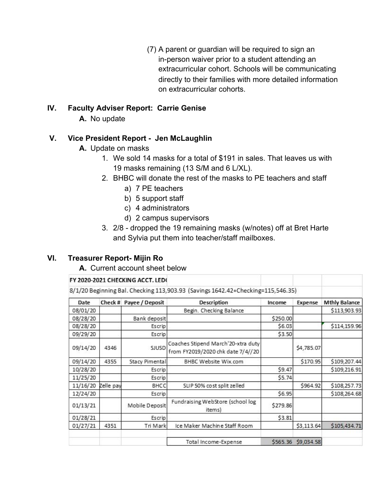(7) A parent or guardian will be required to sign an in-person waiver prior to a student attending an extracurricular cohort. Schools will be communicating directly to their families with more detailed information on extracurricular cohorts.

#### **IV. Faculty Adviser Report: Carrie Genise**

**A.** No update

# **V. Vice President Report - Jen McLaughlin**

- **A.** Update on masks
	- 1. We sold 14 masks for a total of \$191 in sales. That leaves us with 19 masks remaining (13 S/M and 6 L/XL).
	- 2. BHBC will donate the rest of the masks to PE teachers and staff
		- a) 7 PE teachers
		- b) 5 support staff
		- c) 4 administrators
		- d) 2 campus supervisors
	- 3. 2/8 dropped the 19 remaining masks (w/notes) off at Bret Harte and Sylvia put them into teacher/staff mailboxes.

# **VI. Treasurer Report- Mijin Ro**

**A.** Current account sheet below

#### FY 2020-2021 CHECKING ACCT. LEDO

8/1/20 Beginning Bal. Checking 113,903.93 (Savings 1642.42+Checking=115,546.35)

| Date     |           | Check # Payee / Deposit | <b>Description</b>                                                      | Income   | Expense    | <b>Mthly Balance</b> |
|----------|-----------|-------------------------|-------------------------------------------------------------------------|----------|------------|----------------------|
| 08/01/20 |           |                         | Begin. Checking Balance                                                 |          |            | \$113,903.93         |
| 08/28/20 |           | Bank deposit            |                                                                         | \$250.00 |            |                      |
| 08/28/20 |           | Escrip                  |                                                                         | \$6.03   |            | \$114,159.96         |
| 09/29/20 |           | Escrip                  |                                                                         | \$3.50   |            |                      |
| 09/14/20 | 4346      | SJUSD                   | Coaches Stipend March'20-xtra duty<br>from FY2019/2020 chk date 7/4//20 |          | \$4,785.07 |                      |
| 09/14/20 | 4355      | Stacy Pimental          | BHBC Website Wix.com                                                    |          | \$170.95   | \$109,207.44         |
| 10/28/20 |           | Escrip                  |                                                                         | \$9.47   |            | \$109,216.91         |
| 11/25/20 |           | Escrip                  |                                                                         | \$5.74   |            |                      |
| 11/16/20 | Zelle pay | BHCC                    | SLIP 50% cost split zelled                                              |          | \$964.92   | \$108,257.73         |
| 12/24/20 |           | Escrip                  |                                                                         | \$6.95   |            | \$108,264.68         |
| 01/13/21 |           | Mobile Deposit          | Fundraising WebStore (school log<br>items)                              | \$279.86 |            |                      |
| 01/28/21 |           | Escrip                  |                                                                         | \$3.81   |            |                      |
| 01/27/21 | 4351      | Tri Mark                | Ice Maker Machine Staff Room                                            |          | \$3,113.64 | \$105,434.71         |
|          |           |                         | Total Income-Expense                                                    | \$565.36 | \$9,034.58 |                      |